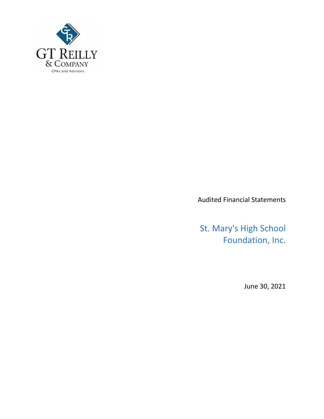

Audited Financial Statements

St. Mary's High School Foundation, Inc.

June 30, 2021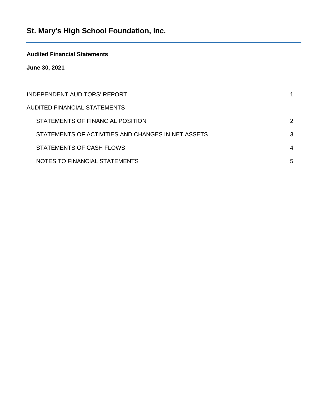# **Audited Financial Statements**

**June 30, 2021**

| INDEPENDENT AUDITORS' REPORT                       |   |
|----------------------------------------------------|---|
| AUDITED FINANCIAL STATEMENTS                       |   |
| STATEMENTS OF FINANCIAL POSITION                   | 2 |
| STATEMENTS OF ACTIVITIES AND CHANGES IN NET ASSETS | 3 |
| STATEMENTS OF CASH FLOWS                           | 4 |
| NOTES TO FINANCIAL STATEMENTS                      | 5 |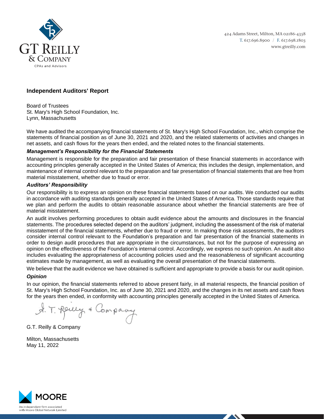

424 Adams Street, Milton, MA 02186-4358 T. 617.696.8900 / F. 617.698.1803 www.gtreilly.com

# **Independent Auditors' Report**

Board of Trustees St. Mary's High School Foundation, Inc. Lynn, Massachusetts

We have audited the accompanying financial statements of St. Mary's High School Foundation, Inc., which comprise the statements of financial position as of June 30, 2021 and 2020, and the related statements of activities and changes in net assets, and cash flows for the years then ended, and the related notes to the financial statements.

#### *Management's Responsibility for the Financial Statements*

Management is responsible for the preparation and fair presentation of these financial statements in accordance with accounting principles generally accepted in the United States of America; this includes the design, implementation, and maintenance of internal control relevant to the preparation and fair presentation of financial statements that are free from material misstatement, whether due to fraud or error.

#### *Auditors' Responsibility*

Our responsibility is to express an opinion on these financial statements based on our audits. We conducted our audits in accordance with auditing standards generally accepted in the United States of America. Those standards require that we plan and perform the audits to obtain reasonable assurance about whether the financial statements are free of material misstatement.

An audit involves performing procedures to obtain audit evidence about the amounts and disclosures in the financial statements. The procedures selected depend on the auditors' judgment, including the assessment of the risk of material misstatement of the financial statements, whether due to fraud or error. In making those risk assessments, the auditors consider internal control relevant to the Foundation's preparation and fair presentation of the financial statements in order to design audit procedures that are appropriate in the circumstances, but not for the purpose of expressing an opinion on the effectiveness of the Foundation's internal control. Accordingly, we express no such opinion. An audit also includes evaluating the appropriateness of accounting policies used and the reasonableness of significant accounting estimates made by management, as well as evaluating the overall presentation of the financial statements.

We believe that the audit evidence we have obtained is sufficient and appropriate to provide a basis for our audit opinion.

# *Opinion*

In our opinion, the financial statements referred to above present fairly, in all material respects, the financial position of St. Mary's High School Foundation, Inc. as of June 30, 2021 and 2020, and the changes in its net assets and cash flows for the years then ended, in conformity with accounting principles generally accepted in the United States of America.

A. T. Reney & Company

G.T. Reilly & Company

Milton, Massachusetts May 11, 2022

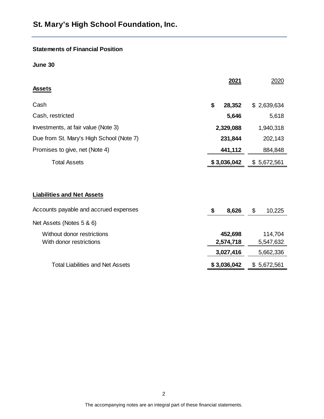# **Statements of Financial Position**

**June 30**

| <b>Assets</b>                            | 2021         | 2020         |
|------------------------------------------|--------------|--------------|
| Cash                                     | \$<br>28,352 | \$2,639,634  |
| Cash, restricted                         | 5,646        | 5,618        |
| Investments, at fair value (Note 3)      | 2,329,088    | 1,940,318    |
| Due from St. Mary's High School (Note 7) | 231,844      | 202,143      |
| Promises to give, net (Note 4)           | 441,112      | 884,848      |
| <b>Total Assets</b>                      | \$3,036,042  | \$5,672,561  |
| <b>Liabilities and Net Assets</b>        |              |              |
| Accounts payable and accrued expenses    | \$<br>8,626  | \$<br>10,225 |
| Net Assets (Notes 5 & 6)                 |              |              |
| Without donor restrictions               | 452,698      | 114,704      |
| With donor restrictions                  | 2,574,718    | 5,547,632    |
|                                          | 3,027,416    | 5,662,336    |
| <b>Total Liabilities and Net Assets</b>  | \$3,036,042  | \$5,672,561  |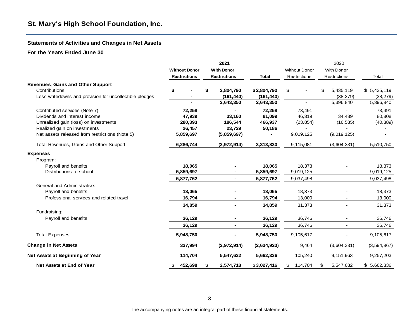#### **Statements of Activities and Changes in Net Assets**

#### **For the Years Ended June 30**

|                                                         |                      | 2021                |                |                      | 2020            |                |
|---------------------------------------------------------|----------------------|---------------------|----------------|----------------------|-----------------|----------------|
|                                                         | <b>Without Donor</b> | <b>With Donor</b>   |                | <b>Without Donor</b> | With Donor      |                |
|                                                         | <b>Restrictions</b>  | <b>Restrictions</b> | <b>Total</b>   | Restrictions         | Restrictions    | Total          |
| <b>Revenues, Gains and Other Support</b>                |                      |                     |                |                      |                 |                |
| Contributions                                           | \$                   | \$<br>2,804,790     | \$2,804,790    | \$                   | \$<br>5,435,119 | \$5,435,119    |
| Less writedowns and provision for uncollectible pledges |                      | (161, 440)          | (161, 440)     |                      | (38, 279)       | (38, 279)      |
|                                                         |                      | 2,643,350           | 2,643,350      |                      | 5,396,840       | 5,396,840      |
| Contributed services (Note 7)                           | 72,258               |                     | 72,258         | 73,491               |                 | 73,491         |
| Dividends and interest income                           | 47,939               | 33,160              | 81,099         | 46,319               | 34,489          | 80,808         |
| Unrealized gain (loss) on investments                   | 280,393              | 186,544             | 466,937        | (23, 854)            | (16, 535)       | (40, 389)      |
| Realized gain on investments                            | 26,457               | 23,729              | 50,186         |                      |                 |                |
| Net assets released from restrictions (Note 5)          | 5,859,697            | (5,859,697)         | $\blacksquare$ | 9,019,125            | (9,019,125)     | $\blacksquare$ |
| Total Revenues, Gains and Other Support                 | 6,286,744            | (2,972,914)         | 3,313,830      | 9,115,081            | (3,604,331)     | 5,510,750      |
| <b>Expenses</b>                                         |                      |                     |                |                      |                 |                |
| Program:                                                |                      |                     |                |                      |                 |                |
| Payroll and benefits                                    | 18,065               |                     | 18,065         | 18,373               |                 | 18,373         |
| Distributions to school                                 | 5,859,697            |                     | 5,859,697      | 9,019,125            |                 | 9,019,125      |
|                                                         | 5,877,762            | $\blacksquare$      | 5,877,762      | 9,037,498            | $\blacksquare$  | 9,037,498      |
| General and Administrative:                             |                      |                     |                |                      |                 |                |
| Payroll and benefits                                    | 18,065               |                     | 18,065         | 18,373               |                 | 18,373         |
| Professional services and related travel                | 16,794               |                     | 16,794         | 13,000               |                 | 13,000         |
|                                                         | 34,859               | $\blacksquare$      | 34,859         | 31,373               |                 | 31,373         |
| Fundraising:                                            |                      |                     |                |                      |                 |                |
| Payroll and benefits                                    | 36,129               |                     | 36,129         | 36,746               |                 | 36,746         |
|                                                         | 36,129               | $\blacksquare$      | 36,129         | 36,746               | $\blacksquare$  | 36,746         |
| <b>Total Expenses</b>                                   | 5,948,750            |                     | 5,948,750      | 9,105,617            |                 | 9,105,617      |
| <b>Change in Net Assets</b>                             | 337,994              | (2,972,914)         | (2,634,920)    | 9,464                | (3,604,331)     | (3,594,867)    |
| Net Assets at Beginning of Year                         | 114,704              | 5,547,632           | 5,662,336      | 105,240              | 9,151,963       | 9,257,203      |
| Net Assets at End of Year                               | 452,698<br>\$        | \$<br>2,574,718     | \$3,027,416    | 114,704<br>\$        | \$<br>5,547,632 | \$5,662,336    |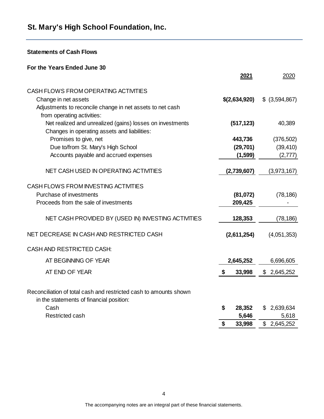**Statements of Cash Flows**

| For the Years Ended June 30                                                                                   |               |                 |
|---------------------------------------------------------------------------------------------------------------|---------------|-----------------|
|                                                                                                               | 2021          | 2020            |
| CASH FLOWS FROM OPERATING ACTIVITIES                                                                          |               |                 |
| Change in net assets                                                                                          | \$(2,634,920) | $$$ (3,594,867) |
| Adjustments to reconcile change in net assets to net cash<br>from operating activities:                       |               |                 |
| Net realized and unrealized (gains) losses on investments<br>Changes in operating assets and liabilities:     | (517, 123)    | 40,389          |
| Promises to give, net                                                                                         | 443,736       | (376, 502)      |
| Due to/from St. Mary's High School                                                                            | (29, 701)     | (39, 410)       |
| Accounts payable and accrued expenses                                                                         | (1, 599)      | (2,777)         |
| NET CASH USED IN OPERATING ACTIVITIES                                                                         | (2,739,607)   | (3,973,167)     |
| CASH FLOWS FROM INVESTING ACTIVITIES                                                                          |               |                 |
| Purchase of investments                                                                                       | (81,072)      | (78, 186)       |
| Proceeds from the sale of investments                                                                         | 209,425       |                 |
| NET CASH PROVIDED BY (USED IN) INVESTING ACTIVITIES                                                           | 128,353       | (78, 186)       |
| NET DECREASE IN CASH AND RESTRICTED CASH                                                                      | (2,611,254)   | (4,051,353)     |
| <b>CASH AND RESTRICTED CASH:</b>                                                                              |               |                 |
| AT BEGINNING OF YEAR                                                                                          | 2,645,252     | 6,696,605       |
| AT END OF YEAR                                                                                                | \$<br>33,998  | \$<br>2,645,252 |
| Reconciliation of total cash and restricted cash to amounts shown<br>in the statements of financial position: |               |                 |
| Cash                                                                                                          | \$<br>28,352  | 2,639,634<br>\$ |
| <b>Restricted cash</b>                                                                                        | 5,646         | 5,618           |
|                                                                                                               | \$<br>33,998  | \$2,645,252     |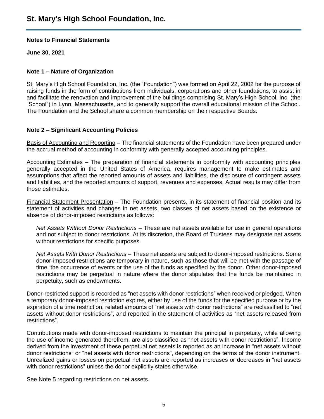#### **Notes to Financial Statements**

**June 30, 2021**

#### **Note 1 – Nature of Organization**

St. Mary's High School Foundation, Inc. (the "Foundation") was formed on April 22, 2002 for the purpose of raising funds in the form of contributions from individuals, corporations and other foundations, to assist in and facilitate the renovation and improvement of the buildings comprising St. Mary's High School, Inc. (the "School") in Lynn, Massachusetts, and to generally support the overall educational mission of the School. The Foundation and the School share a common membership on their respective Boards.

#### **Note 2 – Significant Accounting Policies**

Basis of Accounting and Reporting – The financial statements of the Foundation have been prepared under the accrual method of accounting in conformity with generally accepted accounting principles.

Accounting Estimates – The preparation of financial statements in conformity with accounting principles generally accepted in the United States of America, requires management to make estimates and assumptions that affect the reported amounts of assets and liabilities, the disclosure of contingent assets and liabilities, and the reported amounts of support, revenues and expenses. Actual results may differ from those estimates.

Financial Statement Presentation – The Foundation presents, in its statement of financial position and its statement of activities and changes in net assets, two classes of net assets based on the existence or absence of donor-imposed restrictions as follows:

*Net Assets Without Donor Restrictions* – These are net assets available for use in general operations and not subject to donor restrictions. At its discretion, the Board of Trustees may designate net assets without restrictions for specific purposes.

*Net Assets With Donor Restrictions* – These net assets are subject to donor-imposed restrictions. Some donor-imposed restrictions are temporary in nature, such as those that will be met with the passage of time, the occurrence of events or the use of the funds as specified by the donor. Other donor-imposed restrictions may be perpetual in nature where the donor stipulates that the funds be maintained in perpetuity, such as endowments.

Donor-restricted support is recorded as "net assets with donor restrictions" when received or pledged. When a temporary donor-imposed restriction expires, either by use of the funds for the specified purpose or by the expiration of a time restriction, related amounts of "net assets with donor restrictions" are reclassified to "net assets without donor restrictions", and reported in the statement of activities as "net assets released from restrictions".

Contributions made with donor-imposed restrictions to maintain the principal in perpetuity, while allowing the use of income generated therefrom, are also classified as "net assets with donor restrictions". Income derived from the investment of these perpetual net assets is reported as an increase in "net assets without donor restrictions" or "net assets with donor restrictions", depending on the terms of the donor instrument. Unrealized gains or losses on perpetual net assets are reported as increases or decreases in "net assets with donor restrictions" unless the donor explicitly states otherwise.

See Note 5 regarding restrictions on net assets.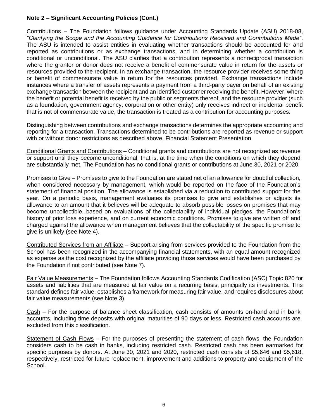# **Note 2 – Significant Accounting Policies (Cont.)**

Contributions – The Foundation follows guidance under Accounting Standards Update (ASU) 2018-08, *"Clarifying the Scope and the Accounting Guidance for Contributions Received and Contributions Made"*. The ASU is intended to assist entities in evaluating whether transactions should be accounted for and reported as contributions or as exchange transactions, and in determining whether a contribution is conditional or unconditional. The ASU clarifies that a contribution represents a nonreciprocal transaction where the grantor or donor does not receive a benefit of commensurate value in return for the assets or resources provided to the recipient. In an exchange transaction, the resource provider receives some thing or benefit of commensurate value in return for the resources provided. Exchange transactions include instances where a transfer of assets represents a payment from a third-party payer on behalf of an existing exchange transaction between the recipient and an identified customer receiving the benefit. However, where the benefit or potential benefit is received by the public or segments thereof, and the resource provider (such as a foundation, government agency, corporation or other entity) only receives indirect or incidental benefit that is not of commensurate value, the transaction is treated as a contribution for accounting purposes.

Distinguishing between contributions and exchange transactions determines the appropriate accounting and reporting for a transaction. Transactions determined to be contributions are reported as revenue or support with or without donor restrictions as described above, Financial Statement Presentation.

Conditional Grants and Contributions – Conditional grants and contributions are not recognized as revenue or support until they become unconditional, that is, at the time when the conditions on which they depend are substantially met. The Foundation has no conditional grants or contributions at June 30, 2021 or 2020.

Promises to Give – Promises to give to the Foundation are stated net of an allowance for doubtful collection, when considered necessary by management, which would be reported on the face of the Foundation's statement of financial position. The allowance is established via a reduction to contributed support for the year. On a periodic basis, management evaluates its promises to give and establishes or adjusts its allowance to an amount that it believes will be adequate to absorb possible losses on promises that may become uncollectible, based on evaluations of the collectability of individual pledges, the Foundation's history of prior loss experience, and on current economic conditions. Promises to give are written off and charged against the allowance when management believes that the collectability of the specific promise to give is unlikely (see Note 4).

Contributed Services from an Affiliate – Support arising from services provided to the Foundation from the School has been recognized in the accompanying financial statements, with an equal amount recognized as expense as the cost recognized by the affiliate providing those services would have been purchased by the Foundation if not contributed (see Note 7).

Fair Value Measurements – The Foundation follows Accounting Standards Codification (ASC) Topic 820 for assets and liabilities that are measured at fair value on a recurring basis, principally its investments. This standard defines fair value, establishes a framework for measuring fair value, and requires disclosures about fair value measurements (see Note 3).

Cash – For the purpose of balance sheet classification, cash consists of amounts on-hand and in bank accounts, including time deposits with original maturities of 90 days or less. Restricted cash accounts are excluded from this classification.

Statement of Cash Flows – For the purposes of presenting the statement of cash flows, the Foundation considers cash to be cash in banks, including restricted cash. Restricted cash has been earmarked for specific purposes by donors. At June 30, 2021 and 2020, restricted cash consists of \$5,646 and \$5,618, respectively, restricted for future replacement, improvement and additions to property and equipment of the School.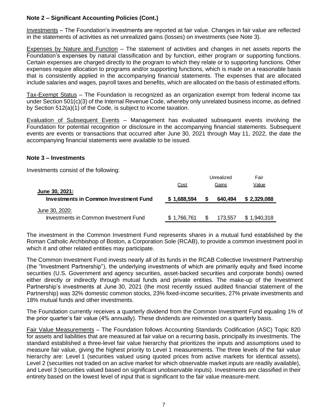# **Note 2 – Significant Accounting Policies (Cont.)**

Investments – The Foundation's investments are reported at fair value. Changes in fair value are reflected in the statements of activities as net unrealized gains (losses) on investments (see Note 3).

Expenses by Nature and Function – The statement of activities and changes in net assets reports the Foundation's expenses by natural classification and by function, either program or supporting functions. Certain expenses are charged directly to the program to which they relate or to supporting functions. Other expenses require allocation to programs and/or supporting functions, which is made on a reasonable basis that is consistently applied in the accompanying financial statements. The expenses that are allocated include salaries and wages, payroll taxes and benefits, which are allocated on the basis of estimated efforts.

Tax-Exempt Status – The Foundation is recognized as an organization exempt from federal income tax under Section 501(c)(3) of the Internal Revenue Code, whereby only unrelated business income, as defined by Section 512(a)(1) of the Code, is subject to income taxation.

Evaluation of Subsequent Events – Management has evaluated subsequent events involving the Foundation for potential recognition or disclosure in the accompanying financial statements. Subsequent events are events or transactions that occurred after June 30, 2021 through May 11, 2022, the date the accompanying financial statements were available to be issued.

#### **Note 3 – Investments**

Investments consist of the following:

|                                              |             |   | Unrealized | Fair        |
|----------------------------------------------|-------------|---|------------|-------------|
|                                              | Cost        |   | Gains      | Value       |
| June 30, 2021:                               |             |   |            |             |
| <b>Investments in Common Investment Fund</b> | \$1,688,594 | S | 640,494    | \$2,329,088 |
| June 30, 2020:                               |             |   |            |             |
| Investments in Common Investment Fund        | \$1,766,761 |   | 173.557    | \$1.940.318 |

The investment in the Common Investment Fund represents shares in a mutual fund established by the Roman Catholic Archbishop of Boston, a Corporation Sole (RCAB), to provide a common investment pool in which it and other related entities may participate.

The Common Investment Fund invests nearly all of its funds in the RCAB Collective Investment Partnership (the "Investment Partnership"), the underlying investments of which are primarily equity and fixed income securities (U.S. Government and agency securities, asset-backed securities and corporate bonds) owned either directly or indirectly through mutual funds and private entities. The make-up of the Investment Partnership's investments at June 30, 2021 (the most recently issued audited financial statement of the Partnership) was 32% domestic common stocks, 23% fixed-income securities, 27% private investments and 18% mutual funds and other investments.

The Foundation currently receives a quarterly dividend from the Common Investment Fund equaling 1% of the prior quarter's fair value (4% annually). These dividends are reinvested on a quarterly basis.

Fair Value Measurements – The Foundation follows Accounting Standards Codification (ASC) Topic 820 for assets and liabilities that are measured at fair value on a recurring basis, principally its investments. The standard established a three-level fair value hierarchy that prioritizes the inputs and assumptions used to measure fair value, giving the highest priority to Level 1 measurements. The three levels of the fair value hierarchy are: Level 1 (securities valued using quoted prices from active markets for identical assets), Level 2 (securities not traded on an active market for which observable market inputs are readily available), and Level 3 (securities valued based on significant unobservable inputs). Investments are classified in their entirety based on the lowest level of input that is significant to the fair value measure-ment.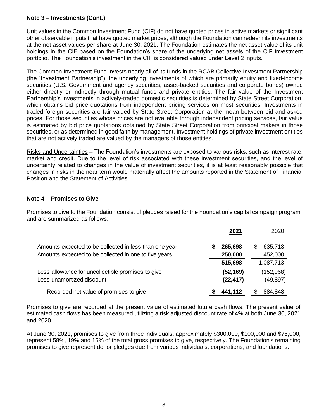# **Note 3 – Investments (Cont.)**

Unit values in the Common Investment Fund (CIF) do not have quoted prices in active markets or significant other observable inputs that have quoted market prices, although the Foundation can redeem its investments at the net asset values per share at June 30, 2021. The Foundation estimates the net asset value of its unit holdings in the CIF based on the Foundation's share of the underlying net assets of the CIF investment portfolio. The Foundation's investment in the CIF is considered valued under Level 2 inputs.

The Common Investment Fund invests nearly all of its funds in the RCAB Collective Investment Partnership (the "Investment Partnership"), the underlying investments of which are primarily equity and fixed-income securities (U.S. Government and agency securities, asset-backed securities and corporate bonds) owned either directly or indirectly through mutual funds and private entities. The fair value of the Investment Partnership's investments in actively-traded domestic securities is determined by State Street Corporation, which obtains bid price quotations from independent pricing services on most securities. Investments in traded foreign securities are fair valued by State Street Corporation at the mean between bid and asked prices. For those securities whose prices are not available through independent pricing services, fair value is estimated by bid price quotations obtained by State Street Corporation from principal makers in those securities, or as determined in good faith by management. Investment holdings of private investment entities that are not actively traded are valued by the managers of those entities.

Risks and Uncertainties – The Foundation's investments are exposed to various risks, such as interest rate, market and credit. Due to the level of risk associated with these investment securities, and the level of uncertainty related to changes in the value of investment securities, it is at least reasonably possible that changes in risks in the near term would materially affect the amounts reported in the Statement of Financial Position and the Statement of Activities.

# **Note 4 – Promises to Give**

Promises to give to the Foundation consist of pledges raised for the Foundation's capital campaign program and are summarized as follows:

|                                                        |   | 2021      | 2020         |
|--------------------------------------------------------|---|-----------|--------------|
| Amounts expected to be collected in less than one year | S | 265,698   | 635,713<br>S |
| Amounts expected to be collected in one to five years  |   | 250,000   | 452,000      |
|                                                        |   | 515,698   | 1,087,713    |
| Less allowance for uncollectible promises to give      |   | (52, 169) | (152,968)    |
| Less unamortized discount                              |   | (22, 417) | (49, 897)    |
| Recorded net value of promises to give                 |   | 441,112   | 884,848      |

Promises to give are recorded at the present value of estimated future cash flows. The present value of estimated cash flows has been measured utilizing a risk adjusted discount rate of 4% at both June 30, 2021 and 2020.

At June 30, 2021, promises to give from three individuals, approximately \$300,000, \$100,000 and \$75,000, represent 58%, 19% and 15% of the total gross promises to give, respectively. The Foundation's remaining promises to give represent donor pledges due from various individuals, corporations, and foundations.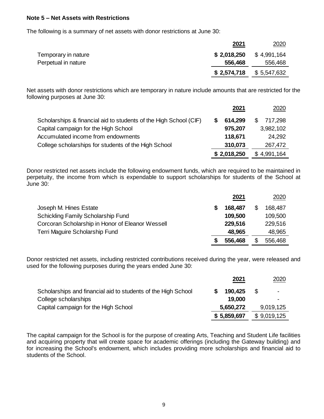#### **Note 5 – Net Assets with Restrictions**

The following is a summary of net assets with donor restrictions at June 30:

|                     | 2021        | 2020        |
|---------------------|-------------|-------------|
| Temporary in nature | \$2,018,250 | \$4,991,164 |
| Perpetual in nature | 556,468     | 556,468     |
|                     | \$2,574,718 | \$5,547,632 |

Net assets with donor restrictions which are temporary in nature include amounts that are restricted for the following purposes at June 30:

|                                                                   | 2021        | 2020           |
|-------------------------------------------------------------------|-------------|----------------|
| Scholarships & financial aid to students of the High School (CIF) | 614,299     | 717,298<br>\$. |
| Capital campaign for the High School                              | 975,207     | 3,982,102      |
| Accumulated income from endowments                                | 118,671     | 24,292         |
| College scholarships for students of the High School              | 310,073     | 267,472        |
|                                                                   | \$2,018,250 | \$4,991,164    |

Donor restricted net assets include the following endowment funds, which are required to be maintained in perpetuity, the income from which is expendable to support scholarships for students of the School at June 30:

|                                                  | 2021    | 2020    |
|--------------------------------------------------|---------|---------|
| Joseph M. Hines Estate                           | 168,487 | 168,487 |
| Schickling Family Scholarship Fund               | 109,500 | 109,500 |
| Corcoran Scholarship in Honor of Eleanor Wessell | 229,516 | 229,516 |
| Terri Maguire Scholarship Fund                   | 48,965  | 48,965  |
|                                                  | 556,468 | 556,468 |

Donor restricted net assets, including restricted contributions received during the year, were released and used for the following purposes during the years ended June 30:

|                                                               | 2021        | 2020        |
|---------------------------------------------------------------|-------------|-------------|
| Scholarships and financial aid to students of the High School | 190,425     | - \$<br>۰   |
| College scholarships                                          | 19,000      |             |
| Capital campaign for the High School                          | 5,650,272   | 9,019,125   |
|                                                               | \$5,859,697 | \$9,019,125 |

The capital campaign for the School is for the purpose of creating Arts, Teaching and Student Life facilities and acquiring property that will create space for academic offerings (including the Gateway building) and for increasing the School's endowment, which includes providing more scholarships and financial aid to students of the School.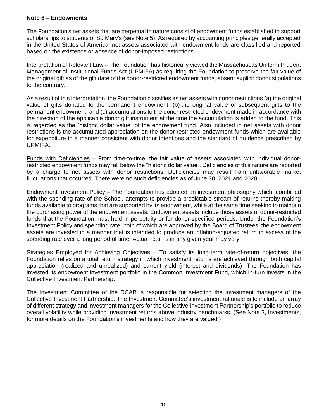# **Note 6 – Endowments**

The Foundation's net assets that are perpetual in nature consist of endowment funds established to support scholarships to students of St. Mary's (see Note 5). As required by accounting principles generally accepted in the United States of America, net assets associated with endowment funds are classified and reported based on the existence or absence of donor-imposed restrictions.

Interpretation of Relevant Law – The Foundation has historically viewed the Massachusetts Uniform Prudent Management of Institutional Funds Act (UPMIFA) as requiring the Foundation to preserve the fair value of the original gift as of the gift date of the donor-restricted endowment funds, absent explicit donor stipulations to the contrary.

As a result of this interpretation, the Foundation classifies as net assets with donor restrictions (a) the original value of gifts donated to the permanent endowment, (b) the original value of subsequent gifts to the permanent endowment, and (c) accumulations to the donor restricted endowment made in accordance with the direction of the applicable donor gift instrument at the time the accumulation is added to the fund. This is regarded as the "historic dollar value" of the endowment fund. Also included in net assets with donor restrictions is the accumulated appreciation on the donor restricted endowment funds which are available for expenditure in a manner consistent with donor intentions and the standard of prudence prescribed by UPMIFA.

Funds with Deficiencies – From time-to-time, the fair value of assets associated with individual donorrestricted endowment funds may fall below the "historic dollar value". Deficiencies of this nature are reported by a charge to net assets with donor restrictions. Deficiencies may result from unfavorable market fluctuations that occurred. There were no such deficiencies as of June 30, 2021 and 2020.

Endowment Investment Policy – The Foundation has adopted an investment philosophy which, combined with the spending rate of the School, attempts to provide a predictable stream of returns thereby making funds available to programs that are supported by its endowment, while at the same time seeking to maintain the purchasing power of the endowment assets. Endowment assets include those assets of donor-restricted funds that the Foundation must hold in perpetuity or for donor-specified periods. Under the Foundation's Investment Policy and spending rate, both of which are approved by the Board of Trustees, the endowment assets are invested in a manner that is intended to produce an inflation-adjusted return in excess of the spending rate over a long period of time. Actual returns in any given year may vary.

Strategies Employed for Achieving Objectives – To satisfy its long-term rate-of-return objectives, the Foundation relies on a total return strategy in which investment returns are achieved through both capital appreciation (realized and unrealized) and current yield (interest and dividends). The Foundation has invested its endowment investment portfolio in the Common Investment Fund, which in-turn invests in the Collective Investment Partnership.

The Investment Committee of the RCAB is responsible for selecting the investment managers of the Collective Investment Partnership. The Investment Committee's investment rationale is to include an array of different strategy and investment managers for the Collective Investment Partnership's portfolio to reduce overall volatility while providing investment returns above industry benchmarks. (See Note 3, Investments, for more details on the Foundation's investments and how they are valued.)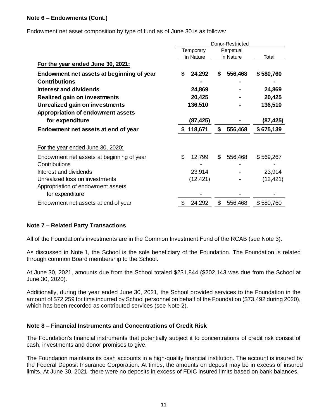# **Note 6 – Endowments (Cont.)**

Endowment net asset composition by type of fund as of June 30 is as follows:

|                                           | Donor-Restricted |           |    |           |           |  |
|-------------------------------------------|------------------|-----------|----|-----------|-----------|--|
|                                           | Temporary        |           |    | Perpetual |           |  |
|                                           |                  | in Nature |    | in Nature | Total     |  |
| For the year ended June 30, 2021:         |                  |           |    |           |           |  |
| Endowment net assets at beginning of year | S                | 24,292    | S  | 556,468   | \$580,760 |  |
| <b>Contributions</b>                      |                  |           |    |           |           |  |
| Interest and dividends                    |                  | 24,869    |    |           | 24,869    |  |
| <b>Realized gain on investments</b>       |                  | 20,425    |    |           | 20,425    |  |
| Unrealized gain on investments            | 136,510          |           |    |           | 136,510   |  |
| Appropriation of endowment assets         |                  |           |    |           |           |  |
| for expenditure                           |                  | (87,425)  |    |           | (87,425)  |  |
| Endowment net assets at end of year       |                  | 118,671   | \$ | 556,468   | \$675,139 |  |
| For the year ended June 30, 2020:         |                  |           |    |           |           |  |
| Endowment net assets at beginning of year | \$               | 12,799    | \$ | 556,468   | \$569,267 |  |
| Contributions                             |                  |           |    |           |           |  |
| Interest and dividends                    |                  | 23,914    |    |           | 23,914    |  |
| Unrealized loss on investments            |                  | (12, 421) |    |           | (12, 421) |  |
| Appropriation of endowment assets         |                  |           |    |           |           |  |
| for expenditure                           |                  |           |    |           |           |  |
| Endowment net assets at end of year       | \$               | 24,292    | \$ | 556,468   | \$580,760 |  |

# **Note 7 – Related Party Transactions**

All of the Foundation's investments are in the Common Investment Fund of the RCAB (see Note 3).

As discussed in Note 1, the School is the sole beneficiary of the Foundation. The Foundation is related through common Board membership to the School.

At June 30, 2021, amounts due from the School totaled \$231,844 (\$202,143 was due from the School at June 30, 2020).

Additionally, during the year ended June 30, 2021, the School provided services to the Foundation in the amount of \$72,259 for time incurred by School personnel on behalf of the Foundation (\$73,492 during 2020), which has been recorded as contributed services (see Note 2).

# **Note 8 – Financial Instruments and Concentrations of Credit Risk**

The Foundation's financial instruments that potentially subject it to concentrations of credit risk consist of cash, investments and donor promises to give.

The Foundation maintains its cash accounts in a high-quality financial institution. The account is insured by the Federal Deposit Insurance Corporation. At times, the amounts on deposit may be in excess of insured limits. At June 30, 2021, there were no deposits in excess of FDIC insured limits based on bank balances.